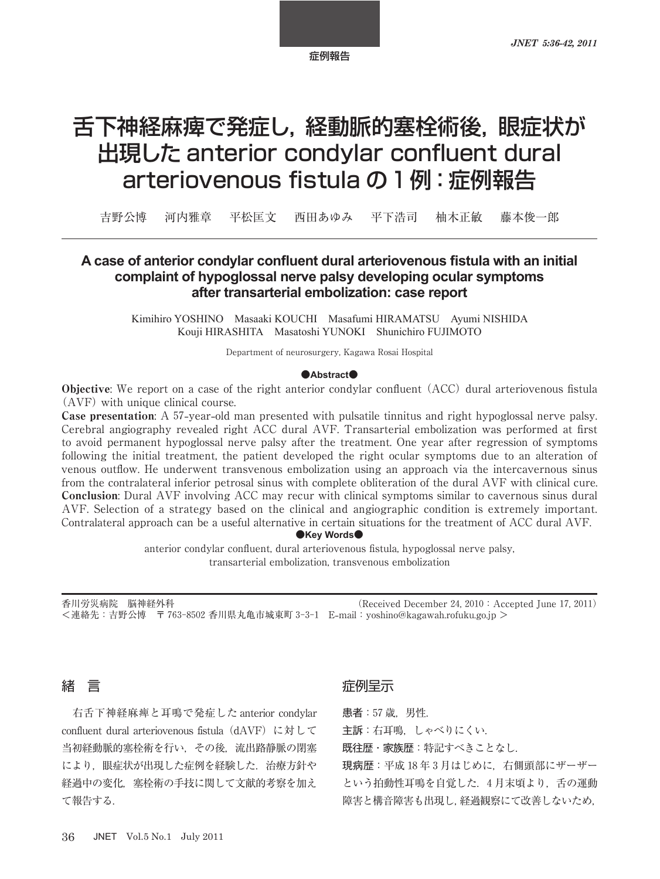# 舌下神経麻痺で発症し,経動脈的塞栓術後,眼症状が 出現した anterior condylar confluent dural arteriovenous fistula の 1 例: 症例報告

吉野公博 河内雅章 平松匡文 西田あゆみ 平下浩司 柚木正敏 藤本俊一郎

# A case of anterior condylar confluent dural arteriovenous fistula with an initial complaint of hypoglossal nerve palsy developing ocular symptoms after transarterial embolization: case report

Kimihiro YOSHINO Masaaki KOUCHI Masafumi HIRAMATSU Ayumi NISHIDA Kouji HIRASHITA Masatoshi YUNOKI Shunichiro FUJIMOTO

Department of neurosurgery, Kagawa Rosai Hospital

#### $\bullet$ **Abstract** $\bullet$

Objective: We report on a case of the right anterior condylar confluent (ACC) dural arteriovenous fistula  $(AVF)$  with unique clinical course.

**Case presentation:** A 57-year-old man presented with pulsatile tinnitus and right hypoglossal nerve palsy. Cerebral angiography revealed right ACC dural AVF. Transarterial embolization was performed at first to avoid permanent hypoglossal nerve palsy after the treatment. One year after regression of symptoms following the initial treatment, the patient developed the right ocular symptoms due to an alteration of venous outflow. He underwent transvenous embolization using an approach via the intercavernous sinus from the contralateral inferior petrosal sinus with complete obliteration of the dural AVF with clinical cure. Conclusion: Dural AVF involving ACC may recur with clinical symptoms similar to cavernous sinus dural AVF. Selection of a strategy based on the clinical and angiographic condition is extremely important. Contralateral approach can be a useful alternative in certain situations for the treatment of ACC dural AVF.

 $\bullet$ **Key Words** $\bullet$ 

anterior condylar confluent, dural arteriovenous fistula, hypoglossal nerve palsy, transarterial embolization, transvenous embolization

香川労災病院 脳神経外科 (Received December 24, 2010 : Accepted June 17, 2011) <連絡先:吉野公博 〒 香川県丸亀市城東町 E**-**mail:yoshino@kagawah.rofuku.go.jp >

# 緒 言

右舌下神経麻痺と耳鳴で発症した anterior condylar confluent dural arteriovenous fistula  $(dAVF)$  に対して 当初経動脈的塞栓術を行い,その後,流出路静脈の閉塞 により、眼症状が出現した症例を経験した. 治療方針や 経過中の変化、塞栓術の手技に関して文献的考察を加え て報告する.

# 症例呈示

患者: 57 歳, 男性.

主訴:右耳鳴,しゃべりにくい.

既往歴・家族歴:特記すべきことなし.

現病歴:平成18年3月はじめに、右側頭部にザーザー という拍動性耳鳴を自覚した. 4月末頃より、舌の運動 障害と構音障害も出現し,経過観察にて改善しないため,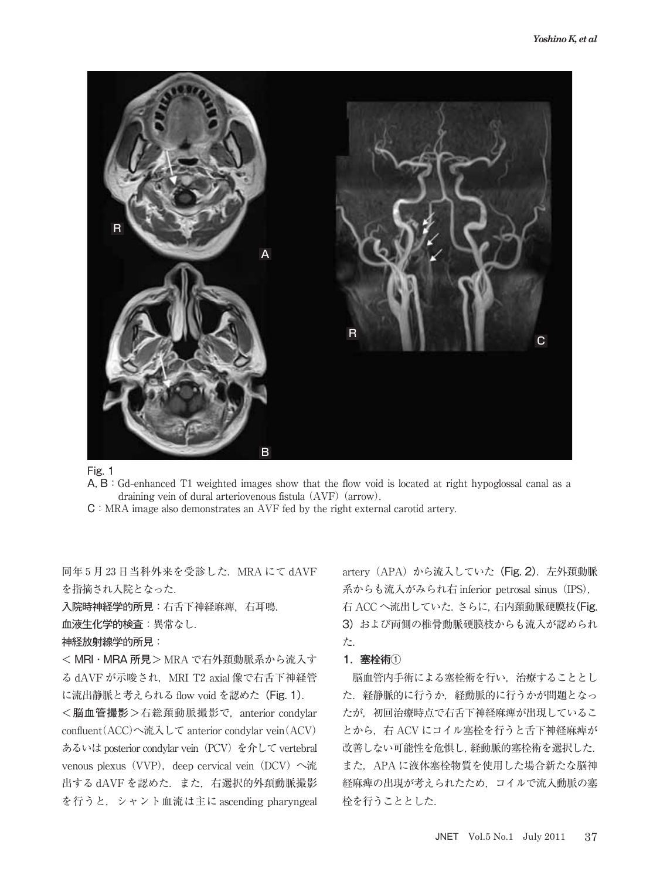

Fig. 1

A, B: Gd-enhanced T1 weighted images show that the flow void is located at right hypoglossal canal as a draining vein of dural arteriovenous fistula (AVF) (arrow).

C:MRA image also demonstrates an AVF fed by the right external carotid artery.

同年 5月23日当科外来を受診した. MRA にて dAVF を指摘され入院となった.

入院時神経学的所見:右舌下神経麻痺,右耳鳴.

血液生化学的検査:異常なし.

神経放射線学的所見:

< MRI・MRA 所見> MRA で右外頚動脈系から流入す る dAVF が示唆され, MRI T2 axial 像で右舌下神経管 に流出静脈と考えられる flow void を認めた(Fig. 1).

<脳血管撮影>右総頚動脈撮影で,anterior condylar confluent  $(ACC)$ へ流入して anterior condylar vein $(ACV)$ あるいは posterior condylar vein (PCV) を介して vertebral venous plexus (VVP), deep cervical vein (DCV) へ流 出する dAVF を認めた. また、右選択的外頚動脈撮影 を行うと,シャント血流は主に ascending pharyngeal artery (APA) から流入していた (Fig. 2). 左外頚動脈 系からも流入がみられ右 inferior petrosal sinus (IPS), 右 ACC へ流出していた.さらに,右内頚動脈硬膜枝(Fig. 3) および両側の椎骨動脈硬膜枝からも流入が認められ た.

## 1.塞栓術①

脳血管内手術による塞栓術を行い,治療することとし た.経静脈的に行うか,経動脈的に行うかが問題となっ たが、初回治療時点で右舌下神経麻痺が出現しているこ とから、右 ACV にコイル塞栓を行うと舌下神経麻痺が 改善しない可能性を危惧し,経動脈的塞栓術を選択した. また、APA に液体塞栓物質を使用した場合新たな脳神 経麻痺の出現が考えられたため,コイルで流入動脈の塞 栓を行うこととした.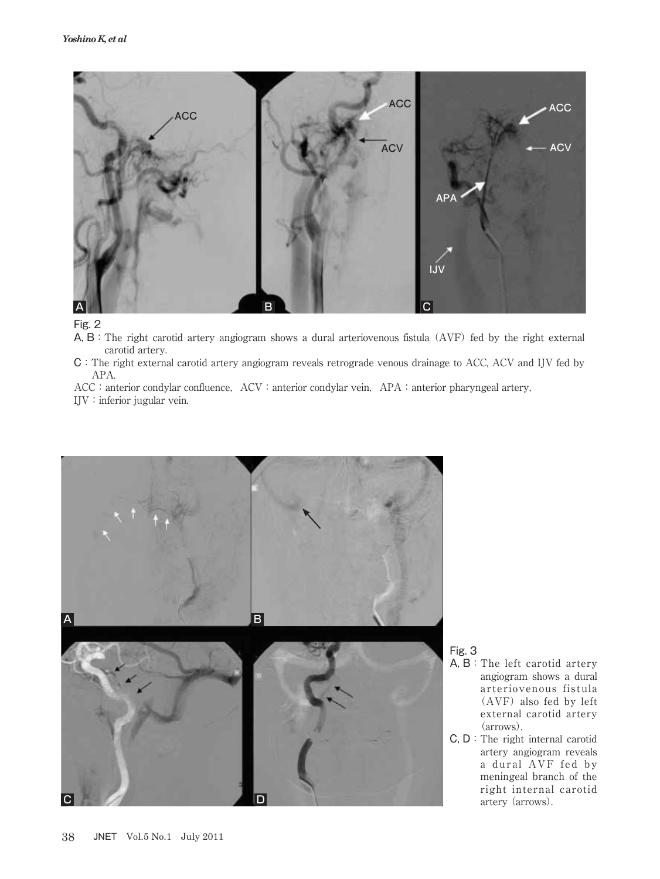

Fig. 2

- A, B: The right carotid artery angiogram shows a dural arteriovenous fistula (AVF) fed by the right external carotid artery.
- C:The right external carotid artery angiogram reveals retrograde venous drainage to ACC, ACV and IJV fed by APA.
- ACC: anterior condylar confluence, ACV: anterior condylar vein, APA: anterior pharyngeal artery,

IJV:inferior jugular vein.



## Fig. 3

- A, B:The left carotid artery angiogram shows a dural arteriovenous fistula  $(AVF)$  also fed by left external carotid artery (arrows).
- C, D:The right internal carotid artery angiogram reveals a dural AVF fed by meningeal branch of the right internal carotid artery (arrows).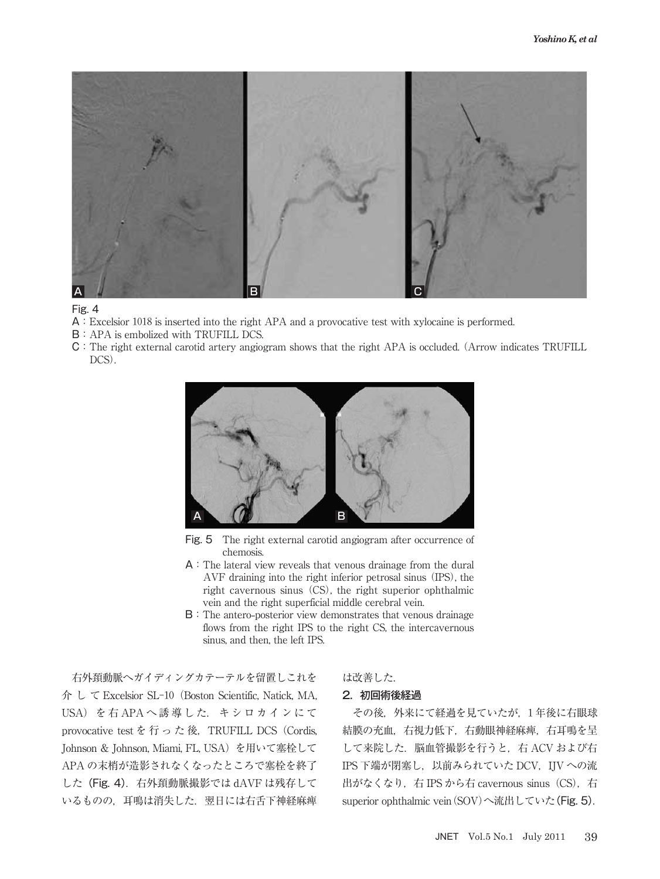

#### Fig. 4

- A: Excelsior 1018 is inserted into the right APA and a provocative test with xylocaine is performed.
- B:APA is embolized with TRUFILL DCS.
- C:The right external carotid artery angiogram shows that the right APA is occluded. Arrow indicates TRUFILL DCS).



Fig. 5 The right external carotid angiogram after occurrence of chemosis.

- A:The lateral view reveals that venous drainage from the dural AVF draining into the right inferior petrosal sinus (IPS), the right cavernous sinus (CS), the right superior ophthalmic vein and the right superficial middle cerebral vein.
- B:The antero**-**posterior view demonstrates that venous drainage flows from the right IPS to the right CS, the intercavernous sinus, and then, the left IPS.

右外頚動脈へガイディングカテーテルを留置しこれを 介 し て Excelsior SL-10 (Boston Scientific, Natick, MA, USA) を右 APA へ誘導した. キシロカインにて provocative test を行った後, TRUFILL DCS (Cordis, Johnson & Johnson, Miami, FL, USA) を用いて塞栓して APA の末梢が造影されなくなったところで塞栓を終了 した(Fig. 4). 右外頚動脈撮影では dAVF は残存して いるものの、耳鳴は消失した. 翌日には右舌下神経麻痺

## は改善した.

## 2.初回術後経過

その後、外来にて経過を見ていたが、1年後に右眼球 結膜の充血,右視力低下,右動眼神経麻痺,右耳鳴を呈 して来院した. 脳血管撮影を行うと、右 ACV および右 IPS 下端が閉塞し, 以前みられていた DCV, IJV への流 出がなくなり, 右 IPS から右 cavernous sinus (CS), 右 superior ophthalmic vein (SOV)へ流出していた(Fig. 5).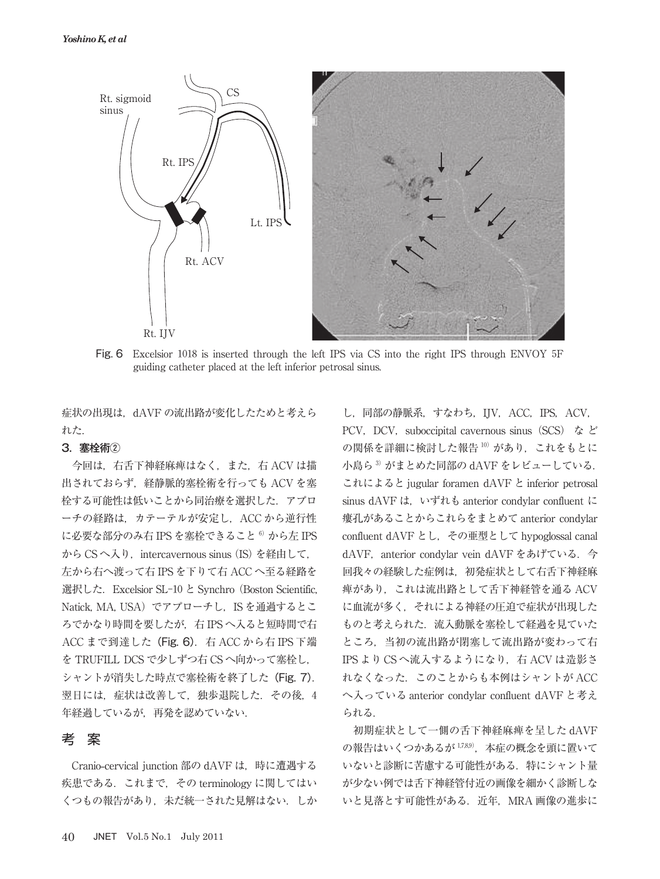

Fig. 6 Excelsior 1018 is inserted through the left IPS via CS into the right IPS through ENVOY 5F guiding catheter placed at the left inferior petrosal sinus.

症状の出現は、dAVF の流出路が変化したためと考えら れた.

## 3.塞栓術②

今回は,右舌下神経麻痺はなく,また,右 ACV は描 出されておらず,経静脈的塞栓術を行っても ACV を塞 栓する可能性は低いことから同治療を選択した.アプロ ーチの経路は,カテーテルが安定し,ACC から逆行性 に必要な部分のみ右 IPS を塞栓できること<sup>6)</sup> から左 IPS から CSへ入り, intercavernous sinus (IS) を経由して, 左から右へ渡って右 IPS を下りて右 ACC へ至る経路を 選択した. Excelsior SL-10 と Synchro (Boston Scientific, Natick, MA, USA) でアプローチし, IS を通過するとこ ろでかなり時間を要したが,右 IPS へ入ると短時間で右 ACC まで到達した (Fig. 6). 右 ACC から右 IPS 下端 を TRUFILL DCS で少しずつ右 CS へ向かって塞栓し, シャントが消失した時点で塞栓術を終了した(Fig. 7). 翌日には、症状は改善して、独歩退院した. その後, 4 年経過しているが,再発を認めていない.

## 考 案

Cranio**-**cervical junction 部の dAVF は,時に遭遇する 疾患である. これまで, その terminology に関してはい くつもの報告があり,未だ統一された見解はない.しか

し,同部の静脈系,すなわち,IJV,ACC,IPS,ACV, PCV, DCV, suboccipital cavernous sinus (SCS) など の関係を詳細に検討した報告 10) があり、これをもとに 小島ら<sup>3)</sup>がまとめた同部の dAVF をレビューしている. これによると jugular foramen dAVF と inferior petrosal sinus dAVF は, いずれも anterior condylar confluent に 瘻孔があることからこれらをまとめて anterior condylar confluent dAVF とし、その亜型として hypoglossal canal dAVF, anterior condylar vein dAVF をあげている. 今 回我々の経験した症例は,初発症状として右舌下神経麻 痺があり,これは流出路として舌下神経管を通る ACV に血流が多く,それによる神経の圧迫で症状が出現した ものと考えられた. 流入動脈を塞栓して経過を見ていた ところ,当初の流出路が閉塞して流出路が変わって右 IPS より CSへ流入するようになり、右 ACV は造影さ れなくなった.このことからも本例はシャントが ACC へ入っている anterior condylar confluent dAVF と考え られる.

初期症状として一側の舌下神経麻痺を呈した dAVF の報告はいくつかあるが 1789), 本症の概念を頭に置いて いないと診断に苦慮する可能性がある.特にシャント量 が少ない例では舌下神経管付近の画像を細かく診断しな いと見落とす可能性がある. 近年, MRA 画像の進歩に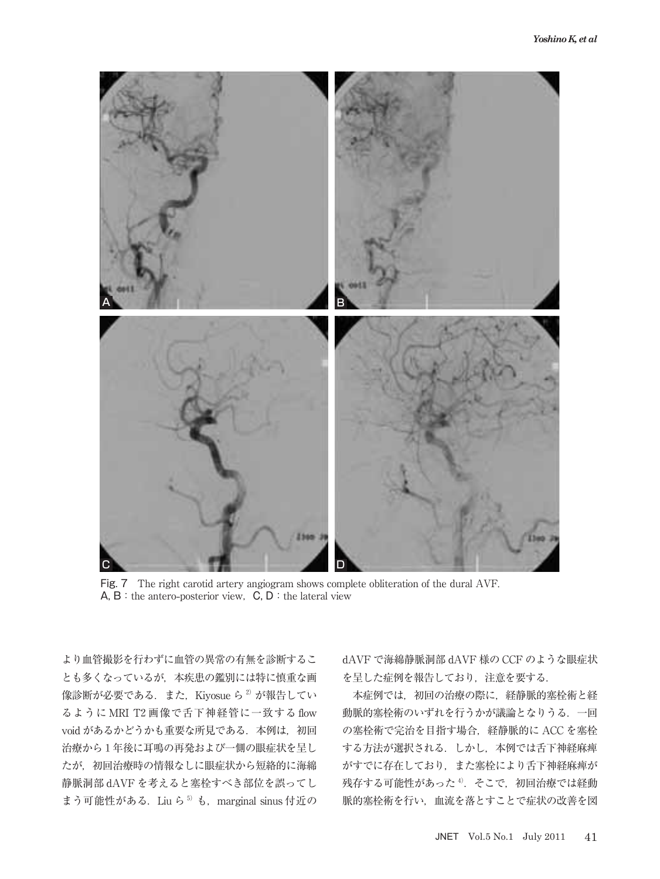

Fig. 7 The right carotid artery angiogram shows complete obliteration of the dural AVF. A, B: the antero-posterior view, C, D: the lateral view

より血管撮影を行わずに血管の異常の有無を診断するこ とも多くなっているが,本疾患の鑑別には特に慎重な画 像診断が必要である. また, Kiyosue ら<sup>2)</sup>が報告してい るように MRI T2 画像で舌下神経管に一致する flow void があるかどうかも重要な所見である. 本例は、初回 治療から1年後に耳鳴の再発および一側の眼症状を呈し たが、初回治療時の情報なしに眼症状から短絡的に海綿 静脈洞部 dAVF を考えると塞栓すべき部位を誤ってし まう可能性がある. Liu ら<sup>5)</sup> も, marginal sinus 付近の dAVF で海綿静脈洞部 dAVF 様の CCF のような眼症状 を呈した症例を報告しており,注意を要する.

本症例では,初回の治療の際に,経静脈的塞栓術と経 動脈的塞栓術のいずれを行うかが議論となりうる.一回 の塞栓術で完治を目指す場合,経静脈的に ACC を塞栓 する方法が選択される.しかし,本例では舌下神経麻痺 がすでに存在しており,また塞栓により舌下神経麻痺が 残存する可能性があった<sup>4)</sup>. そこで、初回治療では経動 脈的塞栓術を行い,血流を落とすことで症状の改善を図